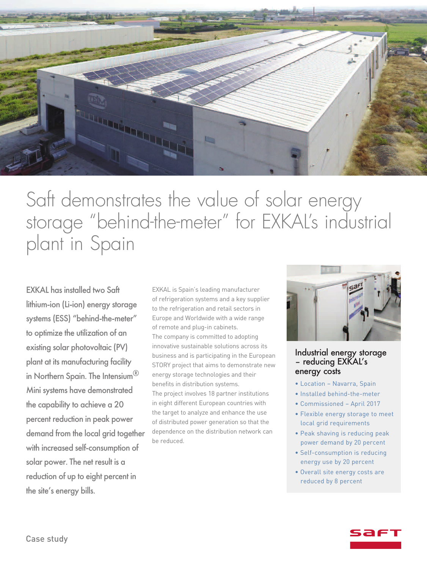

# Saft demonstrates the value of solar energy storage "behind-the-meter " for EXKAL' s industrial plant in Spain

EXKAL has installed two Saft lithium-ion (Li-ion) energy storage systems (ESS) "behind-the-meter" to optimize the utilization of an existing solar photovoltaic (PV) plant at its manufacturing facility in Northern Spain. The Intensium® Mini systems have demonstrated the capability to achieve a 20 percent reduction in peak power demand from the local grid together with increased self-consumption of solar power. The net result is a reduction of up to eight percent in the site's energy bills.

EXKAL is Spain's leading manufacturer of refrigeration systems and a key supplier to the refrigeration and retail sectors in Europe and Worldwide with a wide range of remote and plug-in cabinets. The company is committed to adopting innovative sustainable solutions across its business and is participating in the European STORY project that aims to demonstrate new energy storage technologies and their benefits in distribution systems. The project involves 18 partner institutions in eight different European countries with the target to analyze and enhance the use of distributed power generation so that the dependence on the distribution network can be reduced.



#### Industrial energy storage - reducing EXKAL's energy costs

- Location Navarra, Spain
- Installed behind-the-meter
- Commissioned April 2017
- Flexible energy storage to meet local grid requirements
- Peak shaving is reducing peak power demand by 20 percent
- Self-consumption is reducing energy use by 20 percent
- Overall site energy costs are reduced by 8 percent